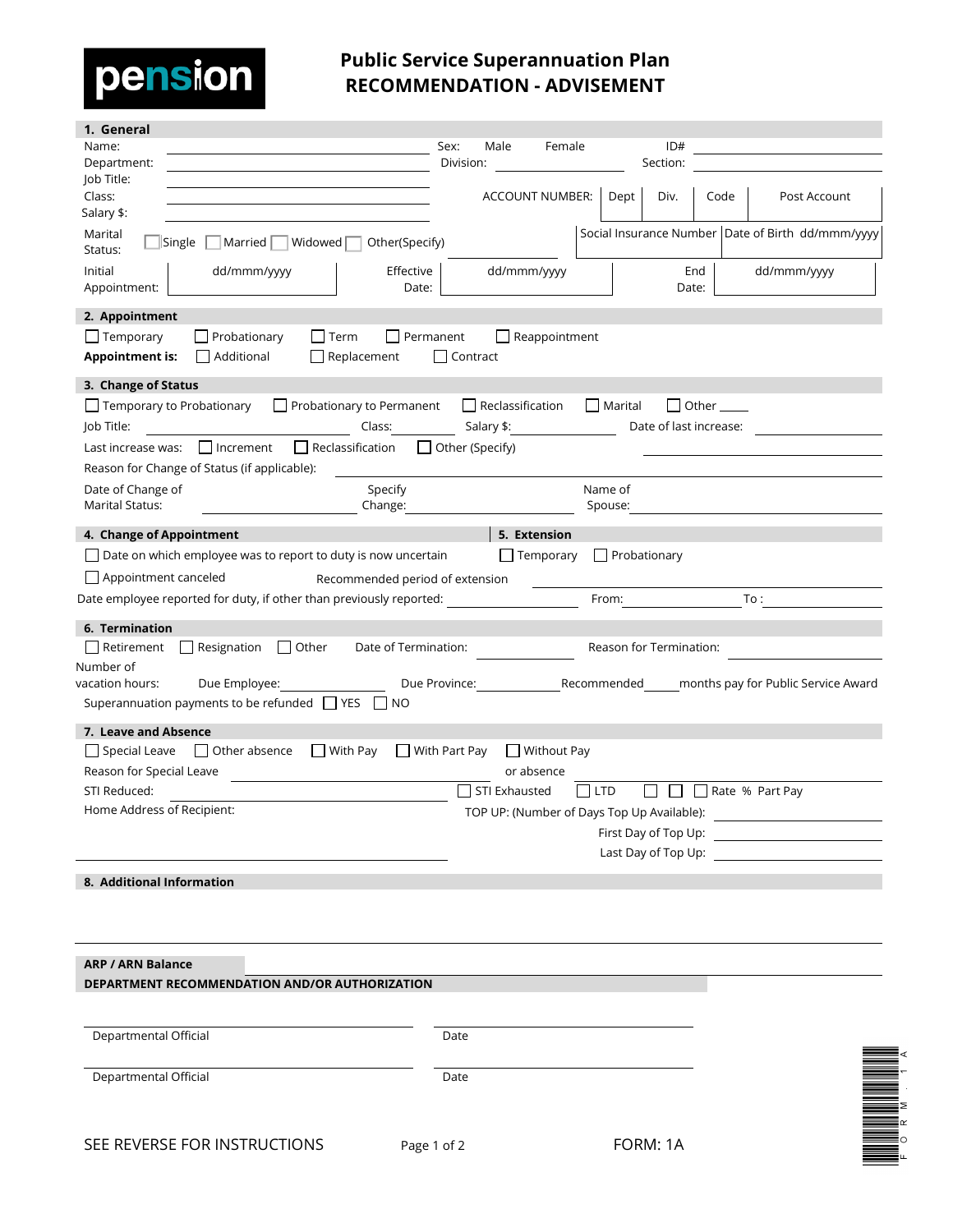

## **Public Service Superannuation Plan RECOMMENDATION - ADVISEMENT**

| 1. General                                                                                   |                         |                                            |                     |                         |      |                                                           |
|----------------------------------------------------------------------------------------------|-------------------------|--------------------------------------------|---------------------|-------------------------|------|-----------------------------------------------------------|
| Name:                                                                                        | Sex:<br>Male            | Female                                     |                     | ID#                     |      |                                                           |
| Department:<br>Job Title:                                                                    | Division:               |                                            |                     | Section:                |      |                                                           |
| Class:                                                                                       |                         | ACCOUNT NUMBER:                            | Dept                | Div.                    | Code | Post Account                                              |
| Salary \$:                                                                                   |                         |                                            |                     |                         |      |                                                           |
| Marital<br> Married   Widowed <br>Other(Specify)<br>Single<br>Status:                        |                         |                                            |                     |                         |      | Social Insurance Number   Date of Birth dd/mmm/yyyy       |
| dd/mmm/yyyy<br>Effective<br>Initial<br>Date:<br>Appointment:                                 | dd/mmm/yyyy             |                                            |                     | End<br>Date:            |      | dd/mmm/yyyy                                               |
| 2. Appointment                                                                               |                         |                                            |                     |                         |      |                                                           |
| $\Box$ Temporary<br>Probationary<br>$\bigsqcup$ Term                                         | $\Box$ Permanent        | $\Box$ Reappointment                       |                     |                         |      |                                                           |
| $\Box$ Additional<br><b>Appointment is:</b><br>Replacement                                   | Contract                |                                            |                     |                         |      |                                                           |
| 3. Change of Status                                                                          |                         |                                            |                     |                         |      |                                                           |
| $\Box$ Temporary to Probationary<br>$\Box$ Probationary to Permanent                         | $\Box$ Reclassification |                                            | Marital             | $\Box$ Other $\Box$     |      |                                                           |
| Job Title:<br>Class:                                                                         | Salary \$:              |                                            |                     | Date of last increase:  |      |                                                           |
| $\Box$ Reclassification<br>  Increment<br>Last increase was:                                 | Other (Specify)         |                                            |                     |                         |      |                                                           |
| Reason for Change of Status (if applicable):                                                 |                         |                                            |                     |                         |      |                                                           |
| Date of Change of<br>Specify                                                                 |                         |                                            | Name of             |                         |      |                                                           |
| <b>Marital Status:</b><br>Change:                                                            |                         |                                            | Spouse:             |                         |      |                                                           |
| 4. Change of Appointment                                                                     |                         | 5. Extension                               |                     |                         |      |                                                           |
| $\Box$ Date on which employee was to report to duty is now uncertain                         |                         | $\Box$ Temporary                           | $\Box$ Probationary |                         |      |                                                           |
| Appointment canceled<br>Recommended period of extension                                      |                         |                                            |                     |                         |      |                                                           |
| Date employee reported for duty, if other than previously reported:                          |                         |                                            | From:               |                         | To:  |                                                           |
|                                                                                              |                         |                                            |                     |                         |      |                                                           |
| 6. Termination<br>$\Box$ Resignation<br>$\Box$ Other<br>Date of Termination:<br>  Retirement |                         |                                            |                     | Reason for Termination: |      |                                                           |
| Number of                                                                                    |                         |                                            |                     |                         |      |                                                           |
| Due Employee:<br>vacation hours:                                                             | Due Province:           |                                            | Recommended         |                         |      | months pay for Public Service Award                       |
| Superannuation payments to be refunded Superannuation<br>I INO                               |                         |                                            |                     |                         |      |                                                           |
| 7. Leave and Absence                                                                         |                         |                                            |                     |                         |      |                                                           |
| $\Box$ With Pay<br>Special Leave<br>$\Box$ Other absence                                     | With Part Pay           | $\Box$ Without Pay                         |                     |                         |      |                                                           |
| Reason for Special Leave                                                                     |                         | or absence                                 |                     |                         |      |                                                           |
| STI Reduced:                                                                                 | STI Exhausted           |                                            | <b>LTD</b>          |                         |      | Rate % Part Pay                                           |
| Home Address of Recipient:                                                                   |                         | TOP UP: (Number of Days Top Up Available): |                     |                         |      |                                                           |
|                                                                                              |                         |                                            |                     |                         |      | First Day of Top Up: The Same Section of Top Section 2014 |
|                                                                                              |                         |                                            |                     | Last Day of Top Up:     |      |                                                           |
| 8. Additional Information                                                                    |                         |                                            |                     |                         |      |                                                           |
|                                                                                              |                         |                                            |                     |                         |      |                                                           |
|                                                                                              |                         |                                            |                     |                         |      |                                                           |
|                                                                                              |                         |                                            |                     |                         |      |                                                           |
| <b>ARP / ARN Balance</b>                                                                     |                         |                                            |                     |                         |      |                                                           |
| DEPARTMENT RECOMMENDATION AND/OR AUTHORIZATION                                               |                         |                                            |                     |                         |      |                                                           |
|                                                                                              |                         |                                            |                     |                         |      |                                                           |
|                                                                                              |                         |                                            |                     |                         |      |                                                           |
| Departmental Official                                                                        | Date                    |                                            |                     |                         |      |                                                           |
|                                                                                              |                         |                                            |                     |                         |      |                                                           |
| Departmental Official                                                                        | Date                    |                                            |                     |                         |      |                                                           |
|                                                                                              |                         |                                            |                     |                         |      |                                                           |
|                                                                                              |                         |                                            |                     |                         |      |                                                           |
| CEE DEVEDCE EOD INICTDI ICTIONIC                                                             |                         |                                            |                     | $E \cap D M \cdot 1 A$  |      |                                                           |